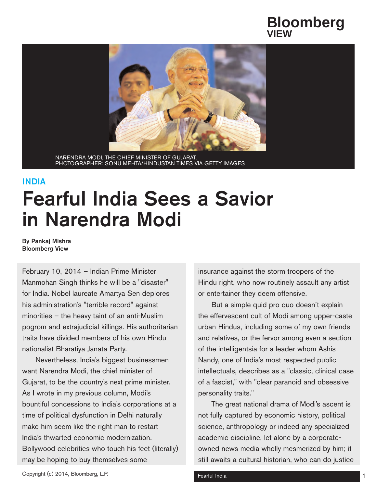

NARENDRA MODI, THE CHIEF MINISTER OF GUJARAT. PHOTOGRAPHER: SONU MEHTA/HINDUSTAN TIMES VIA GETTY IMAGES

# INDIA Fearful India Sees a Savior in Narendra Modi

By Pankaj Mishra Bloomberg View

February 10, 2014 – Indian Prime Minister Manmohan Singh thinks he will be a "disaster" for India. Nobel laureate Amartya Sen deplores his administration's "terrible record" against minorities – the heavy taint of an anti-Muslim pogrom and extrajudicial killings. His authoritarian traits have divided members of his own Hindu nationalist Bharatiya Janata Party.

Nevertheless, India's biggest businessmen want Narendra Modi, the chief minister of Gujarat, to be the country's next prime minister. As I wrote in my previous column, Modi's bountiful concessions to India's corporations at a time of political dysfunction in Delhi naturally make him seem like the right man to restart India's thwarted economic modernization. Bollywood celebrities who touch his feet (literally) may be hoping to buy themselves some

insurance against the storm troopers of the Hindu right, who now routinely assault any artist or entertainer they deem offensive.

But a simple quid pro quo doesn't explain the effervescent cult of Modi among upper-caste urban Hindus, including some of my own friends and relatives, or the fervor among even a section of the intelligentsia for a leader whom Ashis Nandy, one of India's most respected public intellectuals, describes as a "classic, clinical case of a fascist," with "clear paranoid and obsessive personality traits."

The great national drama of Modi's ascent is not fully captured by economic history, political science, anthropology or indeed any specialized academic discipline, let alone by a corporateowned news media wholly mesmerized by him; it still awaits a cultural historian, who can do justice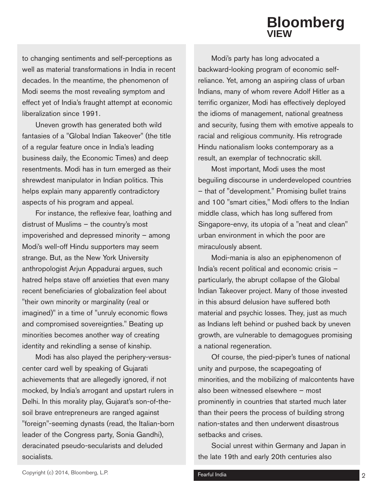to changing sentiments and self-perceptions as well as material transformations in India in recent decades. In the meantime, the phenomenon of Modi seems the most revealing symptom and effect yet of India's fraught attempt at economic liberalization since 1991.

Uneven growth has generated both wild fantasies of a "Global Indian Takeover" (the title of a regular feature once in India's leading business daily, the Economic Times) and deep resentments. Modi has in turn emerged as their shrewdest manipulator in Indian politics. This helps explain many apparently contradictory aspects of his program and appeal.

For instance, the reflexive fear, loathing and distrust of Muslims – the country's most impoverished and depressed minority – among Modi's well-off Hindu supporters may seem strange. But, as the New York University anthropologist Arjun Appadurai argues, such hatred helps stave off anxieties that even many recent beneficiaries of globalization feel about "their own minority or marginality (real or imagined)" in a time of "unruly economic flows and compromised sovereignties." Beating up minorities becomes another way of creating identity and rekindling a sense of kinship.

Modi has also played the periphery-versuscenter card well by speaking of Gujarati achievements that are allegedly ignored, if not mocked, by India's arrogant and upstart rulers in Delhi. In this morality play, Gujarat's son-of-thesoil brave entrepreneurs are ranged against "foreign"-seeming dynasts (read, the Italian-born leader of the Congress party, Sonia Gandhi), deracinated pseudo-secularists and deluded socialists.

Modi's party has long advocated a backward-looking program of economic selfreliance. Yet, among an aspiring class of urban Indians, many of whom revere Adolf Hitler as a terrific organizer, Modi has effectively deployed the idioms of management, national greatness and security, fusing them with emotive appeals to racial and religious community. His retrograde Hindu nationalism looks contemporary as a result, an exemplar of technocratic skill.

Most important, Modi uses the most beguiling discourse in underdeveloped countries – that of "development." Promising bullet trains and 100 "smart cities," Modi offers to the Indian middle class, which has long suffered from Singapore-envy, its utopia of a "neat and clean" urban environment in which the poor are miraculously absent.

Modi-mania is also an epiphenomenon of India's recent political and economic crisis – particularly, the abrupt collapse of the Global Indian Takeover project. Many of those invested in this absurd delusion have suffered both material and psychic losses. They, just as much as Indians left behind or pushed back by uneven growth, are vulnerable to demagogues promising a national regeneration.

Of course, the pied-piper's tunes of national unity and purpose, the scapegoating of minorities, and the mobilizing of malcontents have also been witnessed elsewhere – most prominently in countries that started much later than their peers the process of building strong nation-states and then underwent disastrous setbacks and crises.

Social unrest within Germany and Japan in the late 19th and early 20th centuries also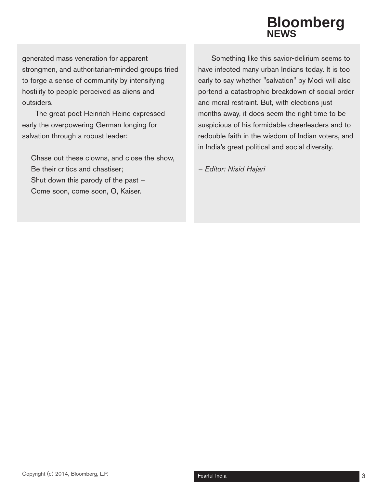# **Bloomberg NEWS**

generated mass veneration for apparent strongmen, and authoritarian-minded groups tried to forge a sense of community by intensifying hostility to people perceived as aliens and outsiders.

The great poet Heinrich Heine expressed early the overpowering German longing for salvation through a robust leader:

Chase out these clowns, and close the show, Be their critics and chastiser; Shut down this parody of the past – Come soon, come soon, O, Kaiser.

Something like this savior-delirium seems to have infected many urban Indians today. It is too early to say whether "salvation" by Modi will also portend a catastrophic breakdown of social order and moral restraint. But, with elections just months away, it does seem the right time to be suspicious of his formidable cheerleaders and to redouble faith in the wisdom of Indian voters, and in India's great political and social diversity.

– Editor: Nisid Hajari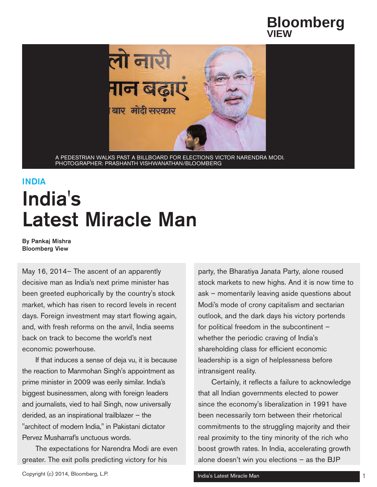

A PEDESTRIAN WALKS PAST A BILLBOARD FOR ELECTIONS VICTOR NARENDRA MODI. PHOTOGRAPHER: PRASHANTH VISHWANATHAN/BLOOMBERG

# INDIA India's Latest Miracle Man

By Pankaj Mishra Bloomberg View

May 16, 2014– The ascent of an apparently decisive man as India's next prime minister has been greeted euphorically by the country's stock market, which has risen to record levels in recent days. Foreign investment may start flowing again, and, with fresh reforms on the anvil, India seems back on track to become the world's next economic powerhouse.

If that induces a sense of deja vu, it is because the reaction to Manmohan Singh's appointment as prime minister in 2009 was eerily similar. India's biggest businessmen, along with foreign leaders and journalists, vied to hail Singh, now universally derided, as an inspirational trailblazer – the "architect of modern India," in Pakistani dictator Pervez Musharraf's unctuous words.

The expectations for Narendra Modi are even greater. The exit polls predicting victory for his

party, the Bharatiya Janata Party, alone roused stock markets to new highs. And it is now time to ask – momentarily leaving aside questions about Modi's mode of crony capitalism and sectarian outlook, and the dark days his victory portends for political freedom in the subcontinent – whether the periodic craving of India's shareholding class for efficient economic leadership is a sign of helplessness before intransigent reality.

Certainly, it reflects a failure to acknowledge that all Indian governments elected to power since the economy's liberalization in 1991 have been necessarily torn between their rhetorical commitments to the struggling majority and their real proximity to the tiny minority of the rich who boost growth rates. In India, accelerating growth alone doesn't win you elections – as the BJP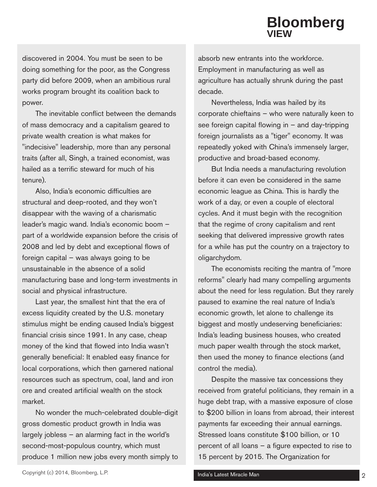discovered in 2004. You must be seen to be doing something for the poor, as the Congress party did before 2009, when an ambitious rural works program brought its coalition back to power.

The inevitable conflict between the demands of mass democracy and a capitalism geared to private wealth creation is what makes for "indecisive" leadership, more than any personal traits (after all, Singh, a trained economist, was hailed as a terrific steward for much of his tenure).

Also, India's economic difficulties are structural and deep-rooted, and they won't disappear with the waving of a charismatic leader's magic wand. India's economic boom – part of a worldwide expansion before the crisis of 2008 and led by debt and exceptional flows of foreign capital – was always going to be unsustainable in the absence of a solid manufacturing base and long-term investments in social and physical infrastructure.

Last year, the smallest hint that the era of excess liquidity created by the U.S. monetary stimulus might be ending caused India's biggest financial crisis since 1991. In any case, cheap money of the kind that flowed into India wasn't generally beneficial: It enabled easy finance for local corporations, which then garnered national resources such as spectrum, coal, land and iron ore and created artificial wealth on the stock market.

No wonder the much-celebrated double-digit gross domestic product growth in India was largely jobless – an alarming fact in the world's second-most-populous country, which must produce 1 million new jobs every month simply to absorb new entrants into the workforce. Employment in manufacturing as well as agriculture has actually shrunk during the past decade.

Nevertheless, India was hailed by its corporate chieftains – who were naturally keen to see foreign capital flowing in – and day-tripping foreign journalists as a "tiger" economy. It was repeatedly yoked with China's immensely larger, productive and broad-based economy.

But India needs a manufacturing revolution before it can even be considered in the same economic league as China. This is hardly the work of a day, or even a couple of electoral cycles. And it must begin with the recognition that the regime of crony capitalism and rent seeking that delivered impressive growth rates for a while has put the country on a trajectory to oligarchydom.

The economists reciting the mantra of "more reforms" clearly had many compelling arguments about the need for less regulation. But they rarely paused to examine the real nature of India's economic growth, let alone to challenge its biggest and mostly undeserving beneficiaries: India's leading business houses, who created much paper wealth through the stock market, then used the money to finance elections (and control the media).

Despite the massive tax concessions they received from grateful politicians, they remain in a huge debt trap, with a massive exposure of close to \$200 billion in loans from abroad, their interest payments far exceeding their annual earnings. Stressed loans constitute \$100 billion, or 10 percent of all loans – a figure expected to rise to 15 percent by 2015. The Organization for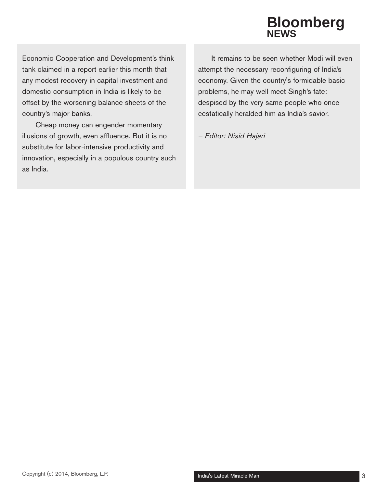# **Bloomberg NEWS**

Economic Cooperation and Development's think tank claimed in a report earlier this month that any modest recovery in capital investment and domestic consumption in India is likely to be offset by the worsening balance sheets of the country's major banks.

Cheap money can engender momentary illusions of growth, even affluence. But it is no substitute for labor-intensive productivity and innovation, especially in a populous country such as India.

It remains to be seen whether Modi will even attempt the necessary reconfiguring of India's economy. Given the country's formidable basic problems, he may well meet Singh's fate: despised by the very same people who once ecstatically heralded him as India's savior.

– Editor: Nisid Hajari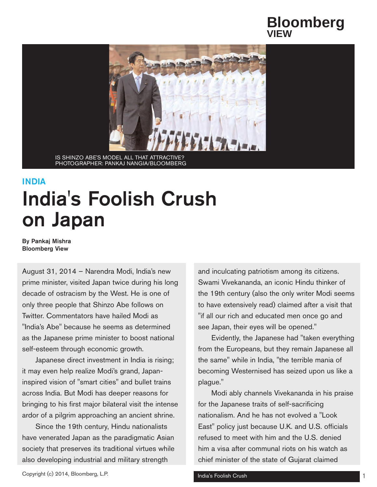

IS SHINZO ABE'S MODEL ALL THAT ATTRACTIVE? PHOTOGRAPHER: PANKAJ NANGIA/BLOOMBERG

# INDIA India's Foolish Crush on Japan

By Pankaj Mishra Bloomberg View

August 31, 2014 – Narendra Modi, India's new prime minister, visited Japan twice during his long decade of ostracism by the West. He is one of only three people that Shinzo Abe follows on Twitter. Commentators have hailed Modi as "India's Abe" because he seems as determined as the Japanese prime minister to boost national self-esteem through economic growth.

Japanese direct investment in India is rising; it may even help realize Modi's grand, Japaninspired vision of "smart cities" and bullet trains across India. But Modi has deeper reasons for bringing to his first major bilateral visit the intense ardor of a pilgrim approaching an ancient shrine.

Since the 19th century, Hindu nationalists have venerated Japan as the paradigmatic Asian society that preserves its traditional virtues while also developing industrial and military strength

and inculcating patriotism among its citizens. Swami Vivekananda, an iconic Hindu thinker of the 19th century (also the only writer Modi seems to have extensively read) claimed after a visit that "if all our rich and educated men once go and see Japan, their eyes will be opened."

Evidently, the Japanese had "taken everything from the Europeans, but they remain Japanese all the same" while in India, "the terrible mania of becoming Westernised has seized upon us like a plague."

Modi ably channels Vivekananda in his praise for the Japanese traits of self-sacrificing nationalism. And he has not evolved a "Look East" policy just because U.K. and U.S. officials refused to meet with him and the U.S. denied him a visa after communal riots on his watch as chief minister of the state of Gujarat claimed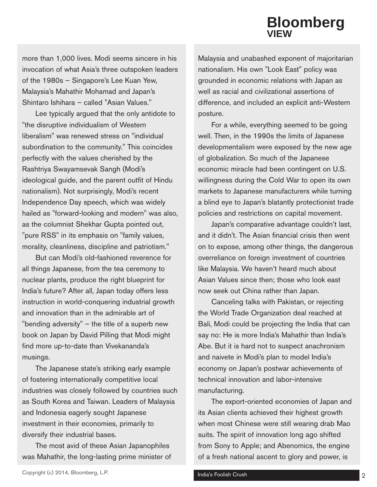more than 1,000 lives. Modi seems sincere in his invocation of what Asia's three outspoken leaders of the 1980s – Singapore's Lee Kuan Yew, Malaysia's Mahathir Mohamad and Japan's Shintaro Ishihara – called "Asian Values."

Lee typically argued that the only antidote to "the disruptive individualism of Western liberalism" was renewed stress on "individual subordination to the community." This coincides perfectly with the values cherished by the Rashtriya Swayamsevak Sangh (Modi's ideological guide, and the parent outfit of Hindu nationalism). Not surprisingly, Modi's recent Independence Day speech, which was widely hailed as "forward-looking and modern" was also, as the columnist Shekhar Gupta pointed out, "pure RSS" in its emphasis on "family values, morality, cleanliness, discipline and patriotism."

But can Modi's old-fashioned reverence for all things Japanese, from the tea ceremony to nuclear plants, produce the right blueprint for India's future? After all, Japan today offers less instruction in world-conquering industrial growth and innovation than in the admirable art of "bending adversity"  $-$  the title of a superb new book on Japan by David Pilling that Modi might find more up-to-date than Vivekananda's musings.

The Japanese state's striking early example of fostering internationally competitive local industries was closely followed by countries such as South Korea and Taiwan. Leaders of Malaysia and Indonesia eagerly sought Japanese investment in their economies, primarily to diversify their industrial bases.

The most avid of these Asian Japanophiles was Mahathir, the long-lasting prime minister of

Malaysia and unabashed exponent of majoritarian nationalism. His own "Look East" policy was grounded in economic relations with Japan as well as racial and civilizational assertions of difference, and included an explicit anti-Western posture.

For a while, everything seemed to be going well. Then, in the 1990s the limits of Japanese developmentalism were exposed by the new age of globalization. So much of the Japanese economic miracle had been contingent on U.S. willingness during the Cold War to open its own markets to Japanese manufacturers while turning a blind eye to Japan's blatantly protectionist trade policies and restrictions on capital movement.

Japan's comparative advantage couldn't last, and it didn't. The Asian financial crisis then went on to expose, among other things, the dangerous overreliance on foreign investment of countries like Malaysia. We haven't heard much about Asian Values since then; those who look east now seek out China rather than Japan.

Canceling talks with Pakistan, or rejecting the World Trade Organization deal reached at Bali, Modi could be projecting the India that can say no: He is more India's Mahathir than India's Abe. But it is hard not to suspect anachronism and naivete in Modi's plan to model India's economy on Japan's postwar achievements of technical innovation and labor-intensive manufacturing.

The export-oriented economies of Japan and its Asian clients achieved their highest growth when most Chinese were still wearing drab Mao suits. The spirit of innovation long ago shifted from Sony to Apple; and Abenomics, the engine of a fresh national ascent to glory and power, is